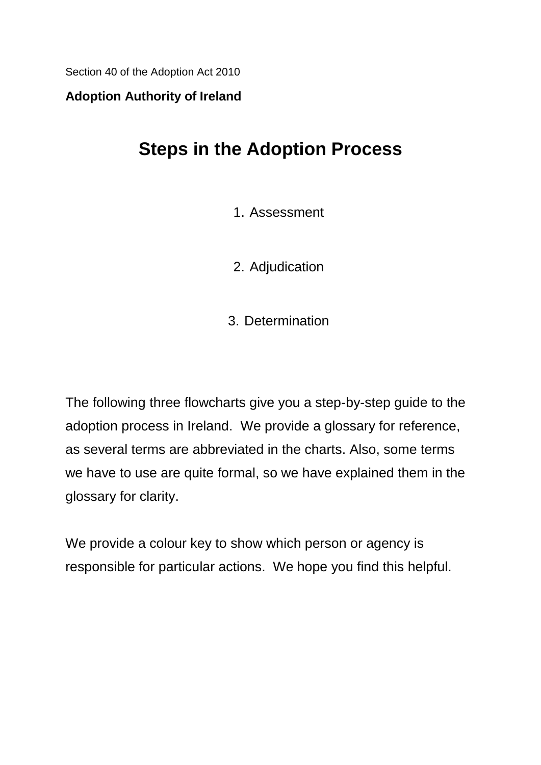Section 40 of the Adoption Act 2010

#### **Adoption Authority of Ireland**

# **Steps in the Adoption Process**

#### 1. Assessment

2. Adjudication

3. Determination

The following three flowcharts give you a step-by-step guide to the adoption process in Ireland. We provide a glossary for reference, as several terms are abbreviated in the charts. Also, some terms we have to use are quite formal, so we have explained them in the glossary for clarity.

We provide a colour key to show which person or agency is responsible for particular actions. We hope you find this helpful.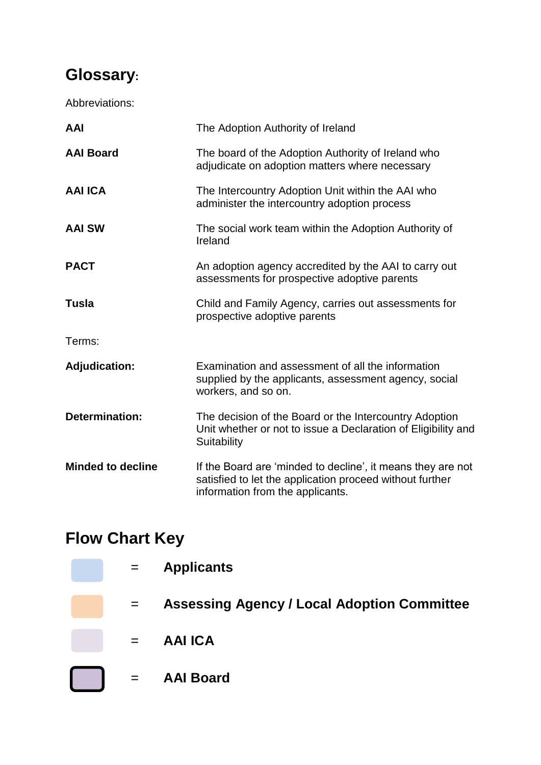# **Glossary:**

Abbreviations:

| <b>AAI</b>               | The Adoption Authority of Ireland                                                                                                                           |
|--------------------------|-------------------------------------------------------------------------------------------------------------------------------------------------------------|
| <b>AAI Board</b>         | The board of the Adoption Authority of Ireland who<br>adjudicate on adoption matters where necessary                                                        |
| <b>AAI ICA</b>           | The Intercountry Adoption Unit within the AAI who<br>administer the intercountry adoption process                                                           |
| <b>AAI SW</b>            | The social work team within the Adoption Authority of<br>Ireland                                                                                            |
| <b>PACT</b>              | An adoption agency accredited by the AAI to carry out<br>assessments for prospective adoptive parents                                                       |
| <b>Tusla</b>             | Child and Family Agency, carries out assessments for<br>prospective adoptive parents                                                                        |
| Terms:                   |                                                                                                                                                             |
| <b>Adjudication:</b>     | Examination and assessment of all the information<br>supplied by the applicants, assessment agency, social<br>workers, and so on.                           |
| <b>Determination:</b>    | The decision of the Board or the Intercountry Adoption<br>Unit whether or not to issue a Declaration of Eligibility and<br>Suitability                      |
| <b>Minded to decline</b> | If the Board are 'minded to decline', it means they are not<br>satisfied to let the application proceed without further<br>information from the applicants. |

# **Flow Chart Key**

| $=$ | <b>Applicants</b>                                  |
|-----|----------------------------------------------------|
| $=$ | <b>Assessing Agency / Local Adoption Committee</b> |
| $=$ | <b>AAI ICA</b>                                     |
| $=$ | <b>AAI Board</b>                                   |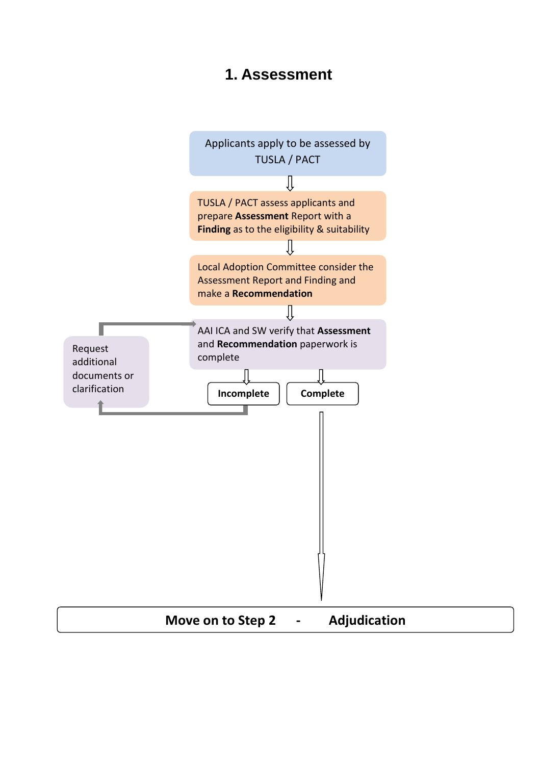#### **1. Assessment**

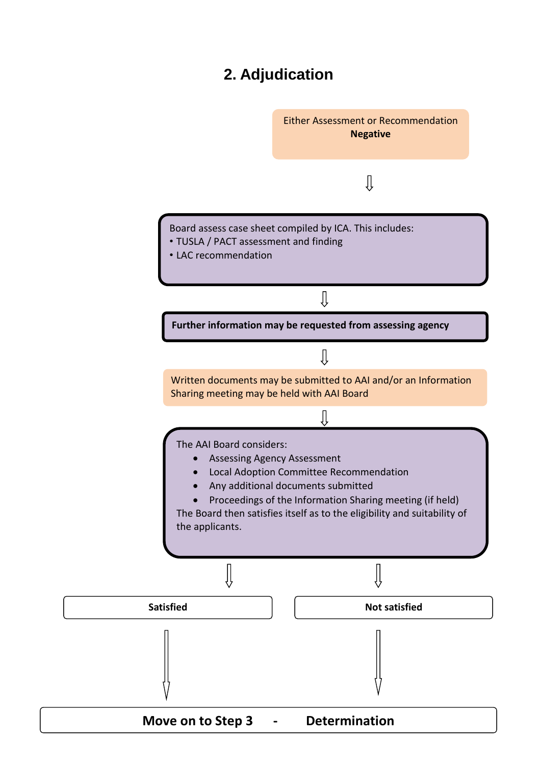## **2. Adjudication**